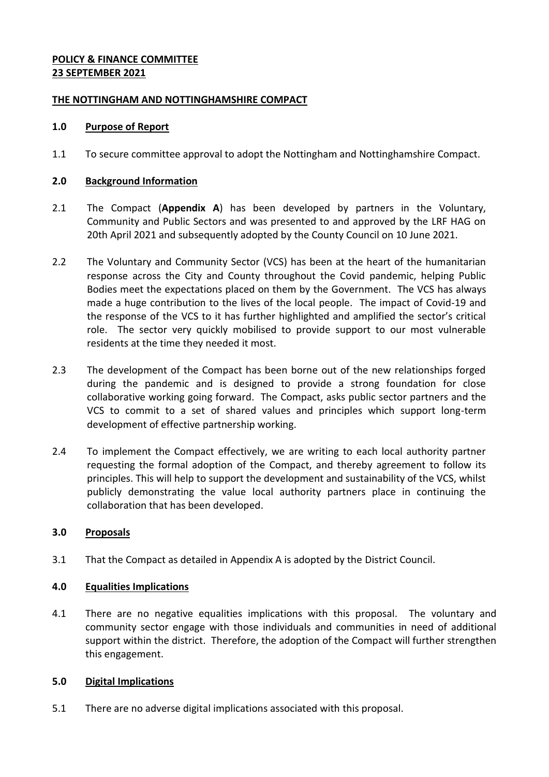# **POLICY & FINANCE COMMITTEE 23 SEPTEMBER 2021**

## **THE NOTTINGHAM AND NOTTINGHAMSHIRE COMPACT**

## **1.0 Purpose of Report**

1.1 To secure committee approval to adopt the Nottingham and Nottinghamshire Compact.

## **2.0 Background Information**

- 2.1 The Compact (**Appendix A**) has been developed by partners in the Voluntary, Community and Public Sectors and was presented to and approved by the LRF HAG on 20th April 2021 and subsequently adopted by the County Council on 10 June 2021.
- 2.2 The Voluntary and Community Sector (VCS) has been at the heart of the humanitarian response across the City and County throughout the Covid pandemic, helping Public Bodies meet the expectations placed on them by the Government. The VCS has always made a huge contribution to the lives of the local people. The impact of Covid-19 and the response of the VCS to it has further highlighted and amplified the sector's critical role. The sector very quickly mobilised to provide support to our most vulnerable residents at the time they needed it most.
- 2.3 The development of the Compact has been borne out of the new relationships forged during the pandemic and is designed to provide a strong foundation for close collaborative working going forward. The Compact, asks public sector partners and the VCS to commit to a set of shared values and principles which support long-term development of effective partnership working.
- 2.4 To implement the Compact effectively, we are writing to each local authority partner requesting the formal adoption of the Compact, and thereby agreement to follow its principles. This will help to support the development and sustainability of the VCS, whilst publicly demonstrating the value local authority partners place in continuing the collaboration that has been developed.

# **3.0 Proposals**

3.1 That the Compact as detailed in Appendix A is adopted by the District Council.

#### **4.0 Equalities Implications**

4.1 There are no negative equalities implications with this proposal. The voluntary and community sector engage with those individuals and communities in need of additional support within the district. Therefore, the adoption of the Compact will further strengthen this engagement.

#### **5.0 Digital Implications**

5.1 There are no adverse digital implications associated with this proposal.